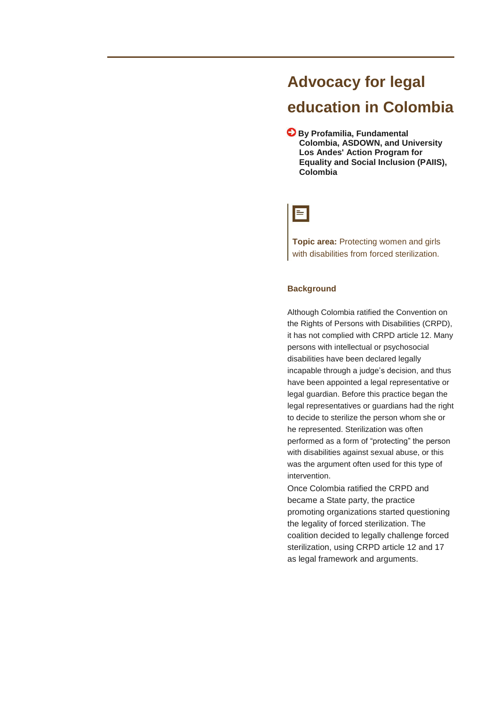# **Advocacy for legal education in Colombia**

**By Profamilia, Fundamental Colombia, ASDOWN, and University Los Andes' Action Program for Equality and Social Inclusion (PAIIS), Colombia**

# $\equiv$

**Topic area:** Protecting women and girls with disabilities from forced sterilization.

# **Background**

Although Colombia ratified the Convention on the Rights of Persons with Disabilities (CRPD), it has not complied with CRPD article 12. Many persons with intellectual or psychosocial disabilities have been declared legally incapable through a judge's decision, and thus have been appointed a legal representative or legal guardian. Before this practice began the legal representatives or guardians had the right to decide to sterilize the person whom she or he represented. Sterilization was often performed as a form of "protecting" the person with disabilities against sexual abuse, or this was the argument often used for this type of intervention.

Once Colombia ratified the CRPD and became a State party, the practice promoting organizations started questioning the legality of forced sterilization. The coalition decided to legally challenge forced sterilization, using CRPD article 12 and 17 as legal framework and arguments.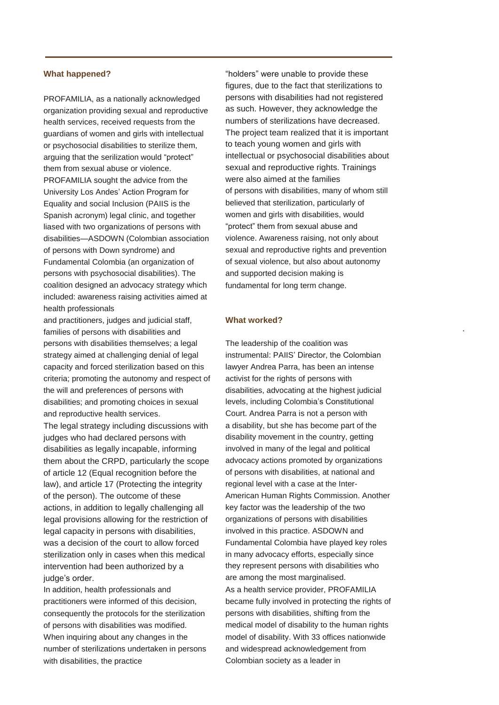#### **What happened?**

PROFAMILIA, as a nationally acknowledged organization providing sexual and reproductive health services, received requests from the guardians of women and girls with intellectual or psychosocial disabilities to sterilize them, arguing that the serilization would "protect" them from sexual abuse or violence. PROFAMILIA sought the advice from the University Los Andes' Action Program for Equality and social Inclusion (PAIIS is the Spanish acronym) legal clinic, and together liased with two organizations of persons with disabilities—ASDOWN (Colombian association of persons with Down syndrome) and Fundamental Colombia (an organization of persons with psychosocial disabilities). The coalition designed an advocacy strategy which included: awareness raising activities aimed at health professionals

and practitioners, judges and judicial staff, families of persons with disabilities and persons with disabilities themselves; a legal strategy aimed at challenging denial of legal capacity and forced sterilization based on this criteria; promoting the autonomy and respect of the will and preferences of persons with disabilities; and promoting choices in sexual and reproductive health services. The legal strategy including discussions with judges who had declared persons with disabilities as legally incapable, informing them about the CRPD, particularly the scope of article 12 (Equal recognition before the law), and article 17 (Protecting the integrity of the person). The outcome of these actions, in addition to legally challenging all legal provisions allowing for the restriction of legal capacity in persons with disabilities, was a decision of the court to allow forced sterilization only in cases when this medical intervention had been authorized by a judge's order.

In addition, health professionals and practitioners were informed of this decision, consequently the protocols for the sterilization of persons with disabilities was modified. When inquiring about any changes in the number of sterilizations undertaken in persons with disabilities, the practice

"holders" were unable to provide these figures, due to the fact that sterilizations to persons with disabilities had not registered as such. However, they acknowledge the numbers of sterilizations have decreased. The project team realized that it is important to teach young women and girls with intellectual or psychosocial disabilities about sexual and reproductive rights. Trainings were also aimed at the families of persons with disabilities, many of whom still believed that sterilization, particularly of women and girls with disabilities, would "protect" them from sexual abuse and violence. Awareness raising, not only about sexual and reproductive rights and prevention of sexual violence, but also about autonomy and supported decision making is fundamental for long term change.

**.**

#### **What worked?**

The leadership of the coalition was instrumental: PAIIS' Director, the Colombian lawyer Andrea Parra, has been an intense activist for the rights of persons with disabilities, advocating at the highest judicial levels, including Colombia's Constitutional Court. Andrea Parra is not a person with a disability, but she has become part of the disability movement in the country, getting involved in many of the legal and political advocacy actions promoted by organizations of persons with disabilities, at national and regional level with a case at the Inter-American Human Rights Commission. Another key factor was the leadership of the two organizations of persons with disabilities involved in this practice. ASDOWN and Fundamental Colombia have played key roles in many advocacy efforts, especially since they represent persons with disabilities who are among the most marginalised. As a health service provider, PROFAMILIA became fully involved in protecting the rights of persons with disabilities, shifting from the medical model of disability to the human rights model of disability. With 33 offices nationwide and widespread acknowledgement from Colombian society as a leader in